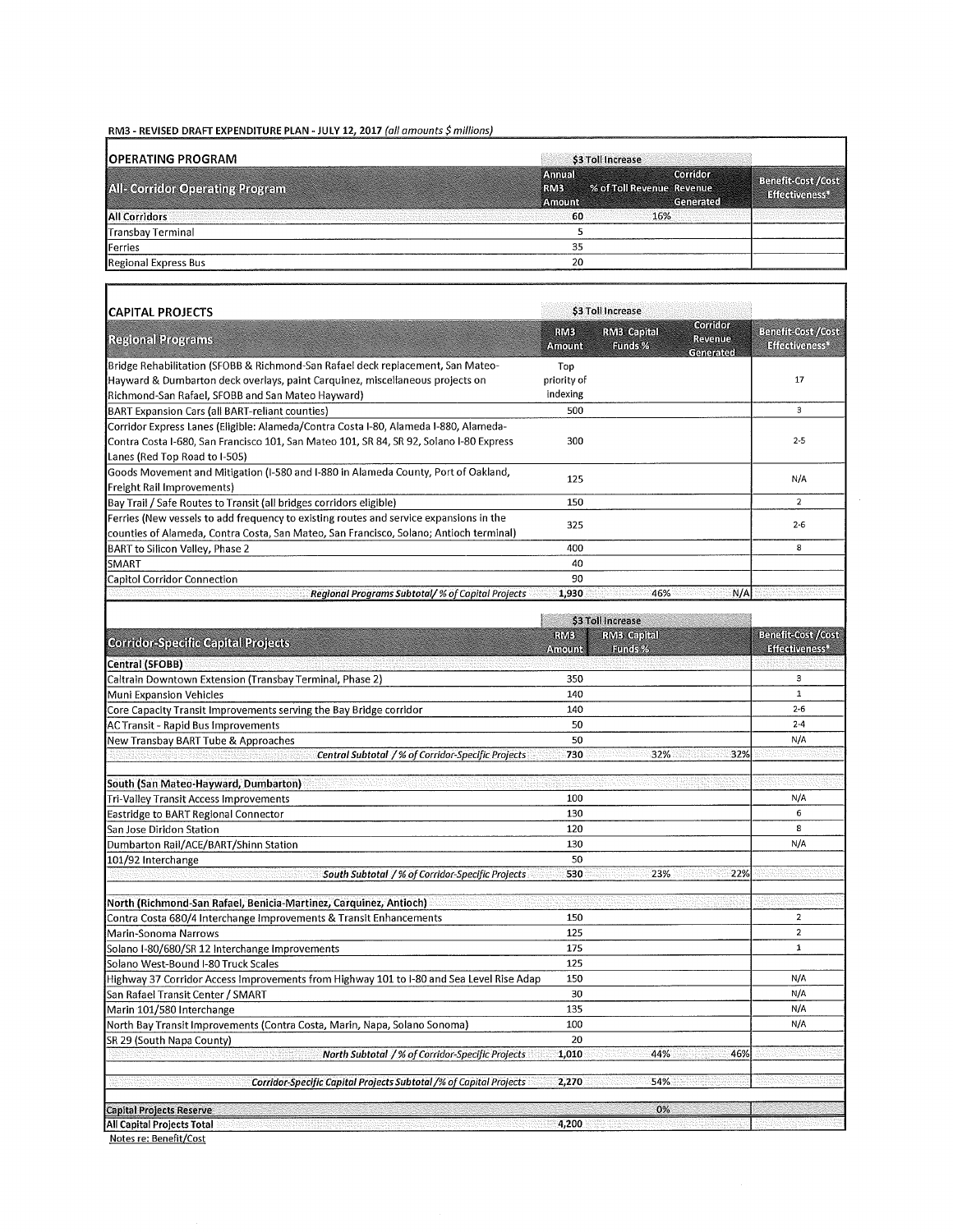## RM3 - REVISED DRAFT EXPENDITURE PLAN - JULY 12, 2017 (all amounts \$ millions)

| <b>IOPERATING PROGRAM</b>              | \$3 Toll Increase                                                                    |                                             |
|----------------------------------------|--------------------------------------------------------------------------------------|---------------------------------------------|
| <b>All- Corridor Operating Program</b> | Corridora<br>Amual<br>% of Toll Revenue Revenue<br><b>RMS</b><br>Generated<br>Amount | <b>Benefit-Cost /Cost</b><br>Effectiveness* |
| <b>All Corridors</b>                   | 60<br>16%                                                                            |                                             |
| Transbay Terminal                      |                                                                                      |                                             |
| Ferries                                | 35                                                                                   |                                             |
| Regional Express Bus                   | 20                                                                                   |                                             |

٦

| <b>CAPITAL PROJECTS</b>                                                                 |                       | \$3 Toll Increase             |                                       |                                                         |  |
|-----------------------------------------------------------------------------------------|-----------------------|-------------------------------|---------------------------------------|---------------------------------------------------------|--|
| <b>Regional Programs</b>                                                                | <b>RMB</b><br>Amonnie | <b>RMB</b> Capital<br>Eunds % | Compon<br><b>Revenue</b><br>Generated | <b>Benefit Cost /Cost</b><br>Effectiveness <sup>4</sup> |  |
| Bridge Rehabilitation (SFOBB & Richmond-San Rafael deck replacement, San Mateo-         | Top                   |                               |                                       |                                                         |  |
| Hayward & Dumbarton deck overlays, paint Carquinez, miscellaneous projects on           |                       |                               |                                       | 17                                                      |  |
| Richmond-San Rafael, SFOBB and San Mateo Hayward)                                       | indexing              |                               |                                       |                                                         |  |
| BART Expansion Cars (all BART-reliant counties)                                         | 500                   |                               |                                       | 3                                                       |  |
| Corridor Express Lanes (Eligible: Alameda/Contra Costa I-80, Alameda I-880, Alameda-    |                       |                               |                                       |                                                         |  |
| Contra Costa I-680, San Francisco 101, San Mateo 101, SR 84, SR 92, Solano I-80 Express |                       |                               |                                       | $2 - 5$                                                 |  |
| Lanes (Red Top Road to I-505)                                                           |                       |                               |                                       |                                                         |  |
| Goods Movement and Mitigation (I-580 and I-880 in Alameda County, Port of Oakland,      |                       |                               |                                       | N/A                                                     |  |
| Freight Rail Improvements)                                                              | 125                   |                               |                                       |                                                         |  |
| Bay Trail / Safe Routes to Transit (all bridges corridors eligible)                     | 150                   |                               |                                       | $\overline{2}$                                          |  |
| Ferries (New vessels to add frequency to existing routes and service expansions in the  |                       | 325                           |                                       | $2 - 6$                                                 |  |
| counties of Alameda, Contra Costa, San Mateo, San Francisco, Solano; Antioch terminal)  |                       |                               |                                       |                                                         |  |
| BART to Silicon Valley, Phase 2                                                         | 400                   |                               |                                       | 8                                                       |  |
| SMART                                                                                   | 40                    |                               |                                       |                                                         |  |
| Capitol Corridor Connection                                                             | 90                    |                               |                                       |                                                         |  |
| Regional Programs Subtotal/ % of Capital Projects                                       | 1,930                 | 46%                           | N/A                                   |                                                         |  |

|                                                                                          | \$3 Toll Increase                               |            |                                     |  |
|------------------------------------------------------------------------------------------|-------------------------------------------------|------------|-------------------------------------|--|
| <b>Corridor-Specific Capital Projects</b>                                                | Rive Canital<br><b>RWB</b><br>Euros %<br>Amount |            | Benefictost /Cost<br>Effectiveness* |  |
| <b>Central (SFOBB)</b>                                                                   |                                                 |            |                                     |  |
| Caltrain Downtown Extension (Transbay Terminal, Phase 2)                                 | 350                                             |            | $\overline{\mathbf{3}}$             |  |
| Muni Expansion Vehicles                                                                  | 140                                             |            | $\mathbf{1}$                        |  |
| Core Capacity Transit Improvements serving the Bay Bridge corridor                       | 140                                             |            | $2 - 6$                             |  |
| <b>AC Transit - Rapid Bus Improvements</b>                                               | 50                                              |            | $2 - 4$                             |  |
| New Transbay BART Tube & Approaches                                                      | 50                                              |            | N/A                                 |  |
| Central Subtotal /% of Corridor-Specific Projects                                        | 730                                             | 32%<br>32% |                                     |  |
| South (San Mateo-Hayward, Dumbarton)                                                     |                                                 |            |                                     |  |
| Tri-Valley Transit Access Improvements                                                   | 100                                             |            | N/A                                 |  |
| Eastridge to BART Regional Connector                                                     | 130                                             |            | 6                                   |  |
| San Jose Diridon Station                                                                 | 120                                             |            | 8                                   |  |
| Dumbarton Rail/ACE/BART/Shinn Station                                                    | 130                                             |            | N/A                                 |  |
| 101/92 Interchange                                                                       | 50                                              |            |                                     |  |
| South Subtotal /% of Corridor-Specific Projects                                          | 530                                             | 22%<br>23% |                                     |  |
| North (Richmond-San Rafael, Benicia-Martinez, Carquinez, Antioch)                        |                                                 |            |                                     |  |
| Contra Costa 680/4 Interchange Improvements & Transit Enhancements                       | 150                                             |            | $\overline{a}$                      |  |
| Marin-Sonoma Narrows                                                                     | 125                                             |            | $\overline{a}$                      |  |
| Solano I-80/680/SR 12 Interchange Improvements                                           | 175                                             |            | $\mathbf{1}$                        |  |
| Solano West-Bound I-80 Truck Scales                                                      | 125                                             |            |                                     |  |
| Highway 37 Corridor Access Improvements from Highway 101 to I-80 and Sea Level Rise Adap | 150                                             |            | N/A                                 |  |
| San Rafael Transit Center / SMART                                                        | 30                                              |            | N/A                                 |  |
| Marin 101/580 Interchange                                                                | 135                                             |            | N/A                                 |  |
| North Bay Transit Improvements (Contra Costa, Marin, Napa, Solano Sonoma)                | 100                                             |            | N/A                                 |  |
| SR 29 (South Napa County)                                                                | 20                                              |            |                                     |  |
| North Subtotal /% of Corridor-Specific Projects                                          | 1,010                                           | 44%<br>46% |                                     |  |
| <b>Corridor-Specific Capital Projects Subtotal /% of Capital Projects</b>                | 2,270                                           | 54%        |                                     |  |
| Capital Projects Reserve                                                                 |                                                 | 0%         |                                     |  |
| All Capital Projects Total                                                               | 4,200                                           |            |                                     |  |

Notes re: Benefit/Cost

Г